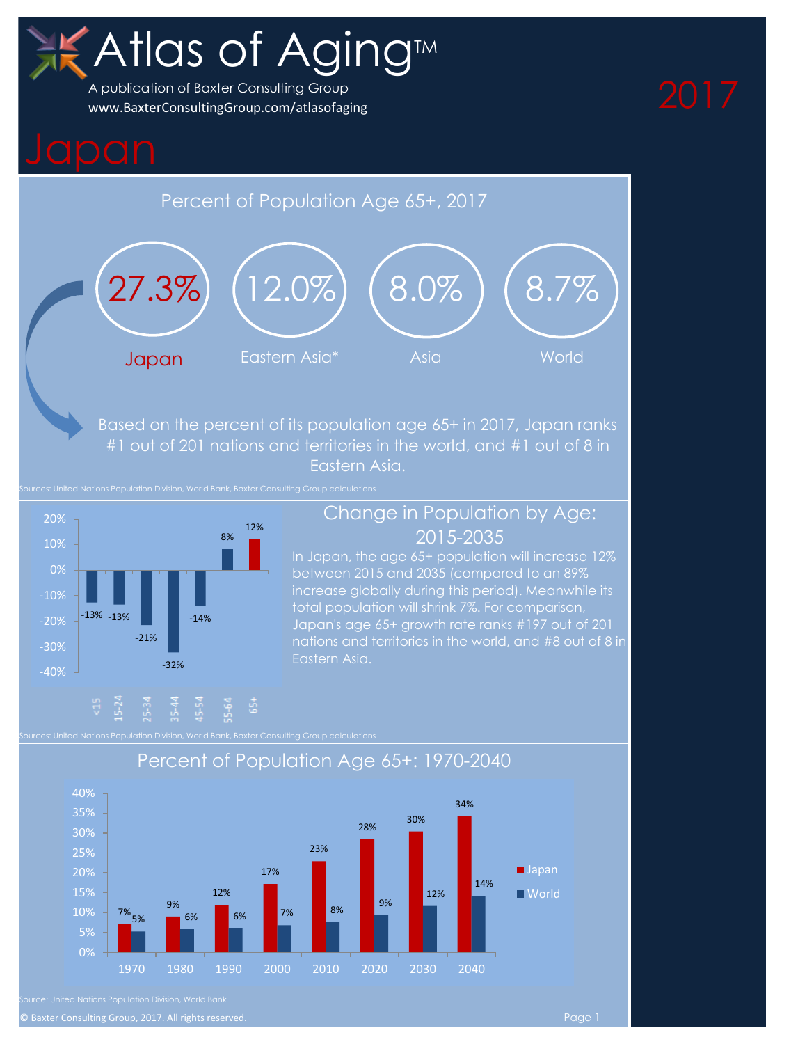# Atlas of Aging<sup>™</sup>

A publication of Baxter Consulting Group [www.BaxterConsultingGroup.com/atlasofaging](http://www.baxterconsultinggroup.com/AtlasofAging)

## Percent of Population Age 65+, 2017



Based on the percent of its population age 65+ in 2017, Japan ranks #1 out of 201 nations and territories in the world, and #1 out of 8 in Eastern Asia.



### Change in Population by Age: 2015-2035

In Japan, the age 65+ population will increase 12% between 2015 and 2035 (compared to an 89% increase globally during this period). Meanwhile its total population will shrink 7%. For comparison, Japan's age 65+ growth rate ranks #197 out of 201



### Percent of Population Age 65+: 1970-2040

© Baxter Consulting Group, 2017. All rights reserved. Page 1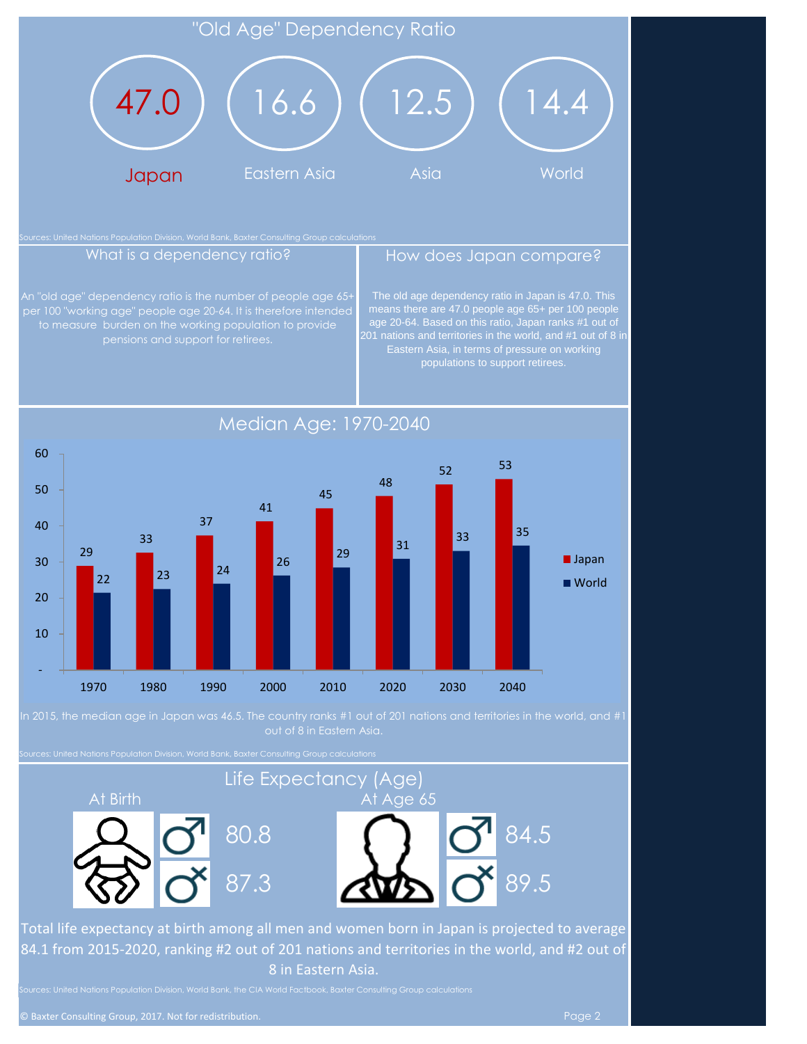### "Old Age" Dependency Ratio



An "old age" dependency ratio is the number of people age 65per 100 "working age" people age 20-64. It is therefore intended pensions and support for retirees.

### What is a dependency ratio? **How does Japan compare?**

The old age dependency ratio in Japan is 47.0. This means there are 47.0 people age 65+ per 100 people age 20-64. Based on this ratio, Japan ranks #1 out of populations to support retirees.



Median Age: 1970-2040

In 2015, the median age in Japan was 46.5. The country ranks #1 out of 201 nations and territories in the world, and #1

Sources: United Nations Population Division, World Bank, Baxter Consulting Group calculations

### At Birth At Age 65 Life Expectancy (Age)



Total life expectancy at birth among all men and women born in Japan is projected to average 84.1 from 2015-2020, ranking #2 out of 201 nations and territories in the world, and #2 out of 8 in Eastern Asia.